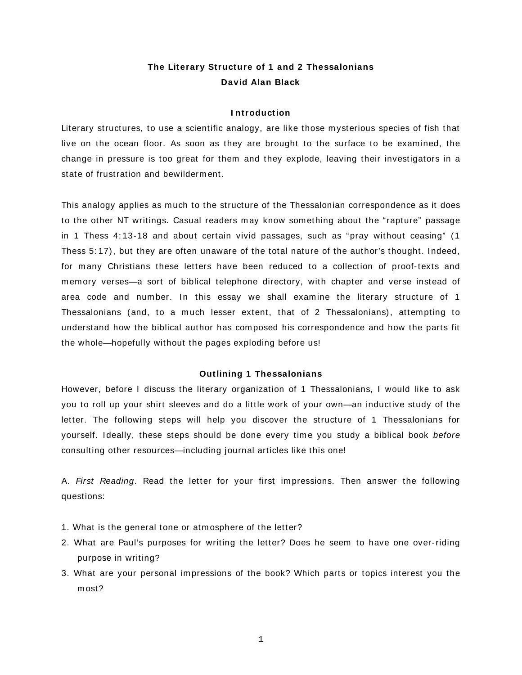# **The Literary Structure of 1 and 2 Thessalonians David Alan Black**

# **I ntroduction**

Literary structures, to use a scientific analogy, are like those m ysterious species of fish that live on the ocean floor. As soon as they are brought to the surface to be exam ined, the change in pressure is too great for them and they explode, leaving their investigators in a state of frustration and bewilderment.

This analogy applies as m uch to the structure of the Thessalonian correspondence as it does to the other NT writings. Casual readers may know something about the "rapture" passage in 1 Thess 4: 13-18 and about certain vivid passages, such as "pray without ceasing" (1 Thess 5: 17), but they are often unaware of the total nature of the author's thought. Indeed, for many Christians these letters have been reduced to a collection of proof-texts and memory verses—a sort of biblical telephone directory, with chapter and verse instead of area code and num ber. In this essay we shall exam ine the literary structure of 1 Thessalonians (and, to a much lesser extent, that of 2 Thessalonians), attempting to understand how the biblical author has com posed his correspondence and how the parts fit the whole—hopefully without the pages exploding before us!

# **Outlining 1 Thessalonians**

However, before I discuss the literary organization of 1 Thessalonians, I would like to ask you to roll up your shirt sleeves and do a little work of your own—an inductive study of the letter. The following steps will help you discover the structure of 1 Thessalonians for yourself. Ideally, these steps should be done every time you study a biblical book before consulting other resources—including journal articles like this one!

A. First Reading. Read the letter for your first impressions. Then answer the following questions:

- 1. What is the general tone or atm osphere of the letter?
- 2. What are Paul's purposes for writing the letter? Does he seem to have one over-riding purpose in writing?
- 3. What are your personal impressions of the book? Which parts or topics interest you the m ost?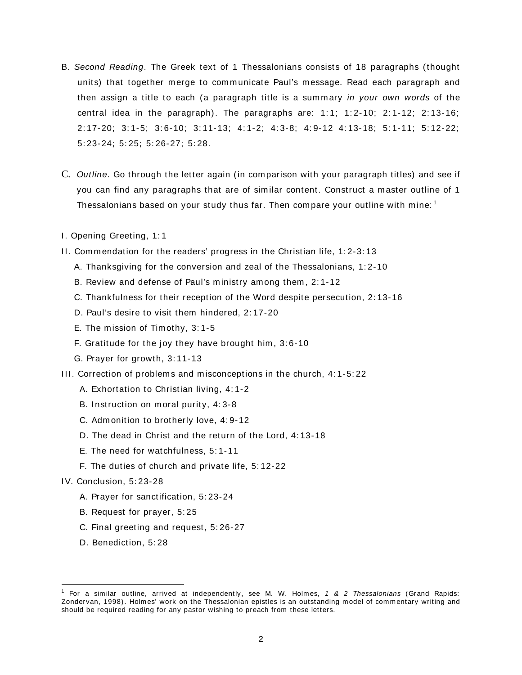- B. Second Reading. The Greek text of 1 Thessalonians consists of 18 paragraphs (thought units) that together merge to communicate Paul's message. Read each paragraph and then assign a title to each (a paragraph title is a summary in your own words of the central idea in the paragraph). The paragraphs are:  $1:1$ ;  $1:2-10$ ;  $2:1-12$ ;  $2:13-16$ ; 2: 17-20; 3: 1-5; 3: 6-10; 3: 11-13; 4: 1-2; 4: 3-8; 4: 9-12 4: 13-18; 5: 1-11; 5: 12-22; 5: 23-24; 5: 25; 5: 26-27; 5: 28.
- C. Outline. Go through the letter again (in com parison with your paragraph titles) and see if you can find any paragraphs that are of sim ilar content. Construct a m aster outline of 1 Thessalonians based on your study thus far. Then compare your outline with mine:  $^{\rm 1}$
- I. Opening Greeting, 1: 1
- II. Commendation for the readers' progress in the Christian life, 1:2-3:13
	- A. Thanksgiving for the conversion and zeal of the Thessalonians, 1: 2-10
	- B. Review and defense of Paul's ministry among them, 2:1-12
	- C. Thankfulness for their reception of the Word despite persecution, 2: 13-16
	- D. Paul's desire to visit them hindered, 2: 17-20
	- E. The mission of Timothy, 3:1-5
	- F. Gratitude for the joy they have brought him , 3: 6-10
	- G. Prayer for growth, 3: 11-13
- III. Correction of problem s and m isconceptions in the church, 4: 1-5: 22
	- A. Exhortation to Christian living, 4: 1-2
	- B. Instruction on moral purity, 4:3-8
	- C. Adm onition to brotherly love, 4: 9-12
	- D. The dead in Christ and the return of the Lord, 4: 13-18
	- E. The need for watchfulness, 5: 1-11
	- F. The duties of church and private life, 5: 12-22

# IV. Conclusion, 5: 23-28

- A. Prayer for sanctification, 5: 23-24
- B. Request for prayer, 5: 25
- C. Final greeting and request, 5: 26-27
- D. Benediction, 5: 28

 $\overline{a}$ 

<sup>&</sup>lt;sup>1</sup> For a similar outline, arrived at independently, see M. W. Holmes, 1 & 2 Thessalonians (Grand Rapids: Zondervan, 1998). Holmes' work on the Thessalonian epistles is an outstanding model of commentary writing and should be required reading for any pastor wishing to preach from these letters.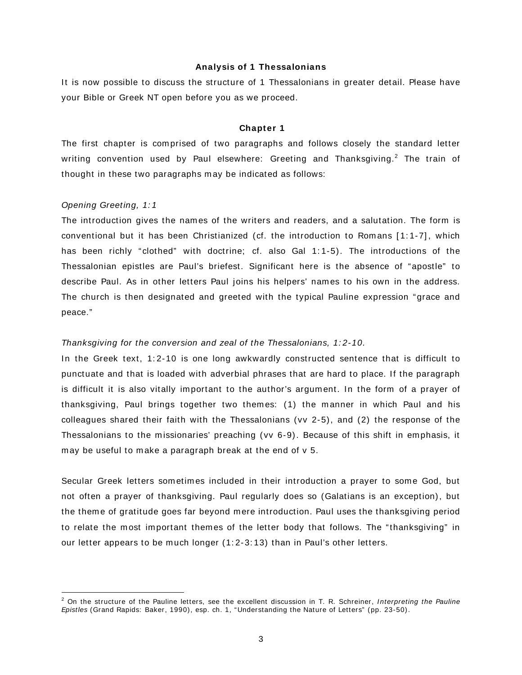#### **Analysis of 1 Thessalonians**

It is now possible to discuss the structure of 1 Thessalonians in greater detail. Please have your Bible or Greek NT open before you as we proceed.

#### **Chapter 1**

The first chapter is com prised of two paragraphs and follows closely the standard letter writing convention used by Paul elsewhere: Greeting and Thanksgiving. $^2$  The train of thought in these two paragraphs may be indicated as follows:

#### Opening Greeting, 1: 1

 $\overline{a}$ 

The introduction gives the nam es of the writers and readers, and a salutation. The form is conventional but it has been Christianized (cf. the introduction to Rom ans [ 1: 1-7] , which has been richly "clothed" with doctrine; cf. also Gal 1:1-5). The introductions of the Thessalonian epistles are Paul's briefest. Significant here is the absence of "apostle" to describe Paul. As in other letters Paul joins his helpers' names to his own in the address. The church is then designated and greeted with the typical Pauline expression "grace and peace."

# Thanksgiving for the conversion and zeal of the Thessalonians, 1: 2-10.

In the Greek text, 1:2-10 is one long awkwardly constructed sentence that is difficult to punctuate and that is loaded with adverbial phrases that are hard to place. If the paragraph is difficult it is also vitally important to the author's argument. In the form of a prayer of thanksgiving, Paul brings together two them es: (1) the m anner in which Paul and his colleagues shared their faith with the Thessalonians (vv 2-5), and (2) the response of the Thessalonians to the missionaries' preaching (vv 6-9). Because of this shift in emphasis, it may be useful to make a paragraph break at the end of v 5.

Secular Greek letters sometimes included in their introduction a prayer to some God, but not often a prayer of thanksgiving. Paul regularly does so (Galatians is an exception), but the theme of gratitude goes far beyond mere introduction. Paul uses the thanksgiving period to relate the most important themes of the letter body that follows. The "thanksgiving" in our letter appears to be much longer (1:2-3:13) than in Paul's other letters.

 $^2$  On the structure of the Pauline letters, see the excellent discussion in T. R. Schreiner, Interpreting the Pauline Epistles (Grand Rapids: Baker, 1990), esp. ch. 1, "Understanding the Nature of Letters" (pp. 23-50).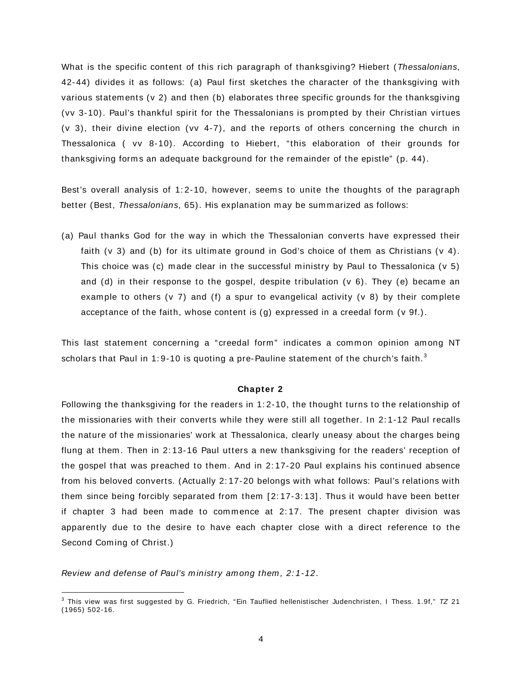What is the specific content of this rich paragraph of thanksgiving? Hiebert (Thessalonians, 42-44) divides it as follows: (a) Paul first sketches the character of the thanksgiving with various statem ents (v 2) and then (b) elaborates three specific grounds for the thanksgiving (vv 3-10). Paul's thankful spirit for the Thessalonians is prom pted by their Christian virtues (v 3), their divine election (vv 4-7), and the reports of others concerning the church in Thessalonica ( vv 8-10). According to Hiebert, "this elaboration of their grounds for thanksgiving form s an adequate background for the rem ainder of the epistle" (p. 44).

Best's overall analysis of 1:2-10, however, seems to unite the thoughts of the paragraph better (Best, Thessalonians, 65). His explanation may be summarized as follows:

(a) Paul thanks God for the way in which the Thessalonian converts have expressed their faith (v 3) and (b) for its ultimate ground in God's choice of them as Christians (v 4). This choice was (c) made clear in the successful ministry by Paul to Thessalonica ( $v$  5) and (d) in their response to the gospel, despite tribulation ( $v$  6). They (e) became an example to others (v 7) and (f) a spur to evangelical activity (v 8) by their complete acceptance of the faith, whose content is (g) expressed in a creedal form (v 9f.).

This last statement concerning a "creedal form" indicates a common opinion among NT scholars that Paul in 1:9-10 is quoting a pre-Pauline statement of the church's faith. $^{\rm 3}$ 

# **Chapter 2**

Following the thanksgiving for the readers in 1: 2-10, the thought turns to the relationship of the m issionaries with their converts while they were still all together. In 2: 1-12 Paul recalls the nature of the missionaries' work at Thessalonica, clearly uneasy about the charges being flung at them. Then in 2:13-16 Paul utters a new thanksgiving for the readers' reception of the gospel that was preached to them . And in 2: 17-20 Paul explains his continued absence from his beloved converts. (Actually 2: 17-20 belongs with what follows: Paul's relations with them since being forcibly separated from them [ 2: 17-3: 13] . Thus it would have been better if chapter 3 had been made to commence at  $2:17$ . The present chapter division was apparently due to the desire to have each chapter close with a direct reference to the Second Coming of Christ.)

Review and defense of Paul's ministry among them, 2:1-12.

 $\overline{a}$ 

 $3$  This view was first suggested by G. Friedrich, "Ein Tauflied hellenistischer Judenchristen, I Thess. 1.9f,"  $7Z$  21 (1965) 502-16.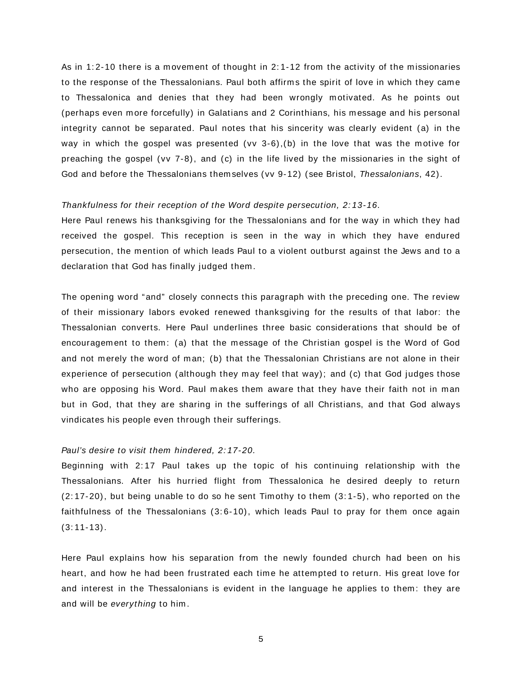As in 1:2-10 there is a movement of thought in 2:1-12 from the activity of the missionaries to the response of the Thessalonians. Paul both affirms the spirit of love in which they came to Thessalonica and denies that they had been wrongly m otivated. As he points out (perhaps even more forcefully) in Galatians and 2 Corinthians, his message and his personal integrity cannot be separated. Paul notes that his sincerity was clearly evident (a) in the way in which the gospel was presented (vv 3-6),(b) in the love that was the m otive for preaching the gospel (vv 7-8), and (c) in the life lived by the m issionaries in the sight of God and before the Thessalonians them selves (vv 9-12) (see Bristol, Thessalonians, 42).

#### Thankfulness for their reception of the Word despite persecution, 2: 13-16.

Here Paul renews his thanksgiving for the Thessalonians and for the way in which they had received the gospel. This reception is seen in the way in which they have endured persecution, the mention of which leads Paul to a violent outburst against the Jews and to a declaration that God has finally judged them .

The opening word "and" closely connects this paragraph with the preceding one. The review of their m issionary labors evoked renewed thanksgiving for the results of that labor: the Thessalonian converts. Here Paul underlines three basic considerations that should be of encouragement to them: (a) that the message of the Christian gospel is the Word of God and not merely the word of man; (b) that the Thessalonian Christians are not alone in their experience of persecution (although they may feel that way); and (c) that God judges those who are opposing his Word. Paul makes them aware that they have their faith not in man but in God, that they are sharing in the sufferings of all Christians, and that God always vindicates his people even through their sufferings.

#### Paul's desire to visit them hindered, 2: 17-20.

Beginning with 2: 17 Paul takes up the topic of his continuing relationship with the Thessalonians. After his hurried flight from Thessalonica he desired deeply to return  $(2: 17-20)$ , but being unable to do so he sent Timothy to them  $(3: 1-5)$ , who reported on the faithfulness of the Thessalonians (3:6-10), which leads Paul to pray for them once again  $(3:11-13)$ .

Here Paul explains how his separation from the newly founded church had been on his heart, and how he had been frustrated each time he attempted to return. His great love for and interest in the Thessalonians is evident in the language he applies to them : they are and will be everything to him .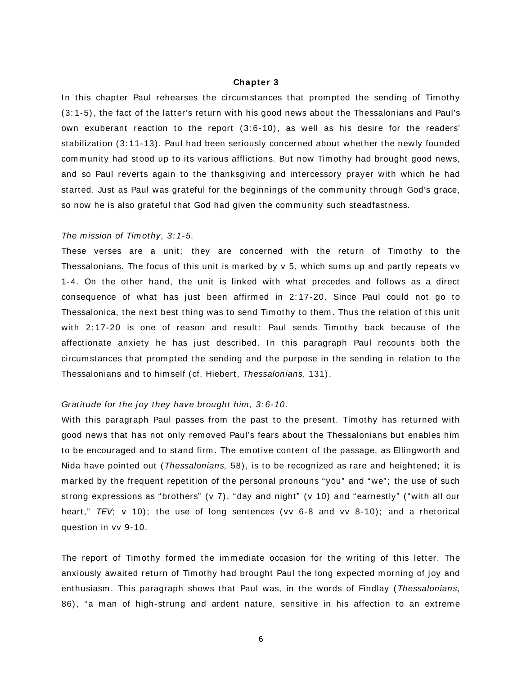# **Chapter 3**

In this chapter Paul rehearses the circum stances that prompted the sending of Timothy (3: 1-5), the fact of the latter's return with his good news about the Thessalonians and Paul's own exuberant reaction to the report (3: 6-10), as well as his desire for the readers' stabilization (3: 11-13). Paul had been seriously concerned about whether the newly founded community had stood up to its various afflictions. But now Timothy had brought good news, and so Paul reverts again to the thanksgiving and intercessory prayer with which he had started. Just as Paul was grateful for the beginnings of the community through God's grace, so now he is also grateful that God had given the community such steadfastness.

#### The mission of Timothy, 3:1-5.

These verses are a unit; they are concerned with the return of Timothy to the Thessalonians. The focus of this unit is marked by  $v$  5, which sums up and partly repeats  $vv$ 1-4. On the other hand, the unit is linked with what precedes and follows as a direct consequence of what has just been affirm ed in 2: 17-20. Since Paul could not go to Thessalonica, the next best thing was to send Tim othy to them . Thus the relation of this unit with 2:17-20 is one of reason and result: Paul sends Timothy back because of the affectionate anxiety he has just described. In this paragraph Paul recounts both the circum stances that prom pted the sending and the purpose in the sending in relation to the Thessalonians and to him self (cf. Hiebert, Thessalonians, 131).

#### Gratitude for the joy they have brought him, 3:6-10.

With this paragraph Paul passes from the past to the present. Timothy has returned with good news that has not only rem oved Paul's fears about the Thessalonians but enables him to be encouraged and to stand firm. The emotive content of the passage, as Ellingworth and Nida have pointed out (Thessalonians, 58), is to be recognized as rare and heightened; it is m arked by the frequent repetition of the personal pronouns "you" and "we"; the use of such strong expressions as "brothers" (v 7), "day and night" (v 10) and "earnestly" ("with all our heart,"  $TEV$ ; v 10); the use of long sentences (vv 6-8 and vv 8-10); and a rhetorical question in vv 9-10.

The report of Timothy formed the immediate occasion for the writing of this letter. The anxiously awaited return of Timothy had brought Paul the long expected morning of joy and enthusiasm. This paragraph shows that Paul was, in the words of Findlay (Thessalonians, 86), "a man of high-strung and ardent nature, sensitive in his affection to an extreme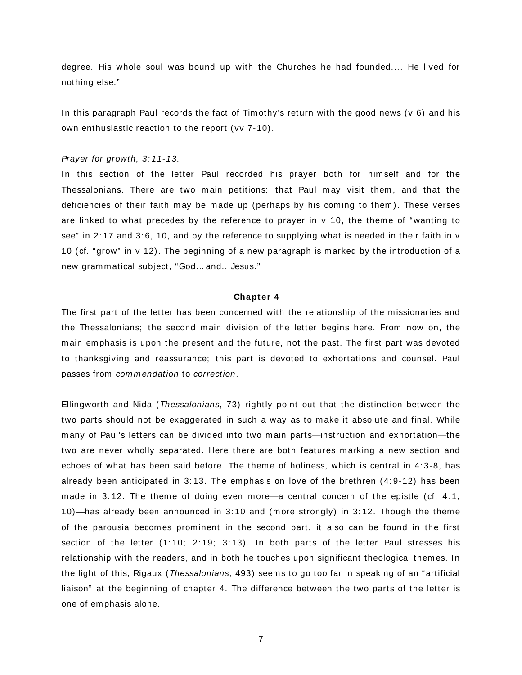degree. His whole soul was bound up with the Churches he had founded.... He lived for nothing else."

In this paragraph Paul records the fact of Tim othy's return with the good news (v 6) and his own enthusiastic reaction to the report (vv 7-10).

#### Prayer for growth, 3: 11-13.

In this section of the letter Paul recorded his prayer both for him self and for the Thessalonians. There are two main petitions: that Paul may visit them, and that the deficiencies of their faith may be made up (perhaps by his coming to them). These verses are linked to what precedes by the reference to prayer in  $v$  10, the theme of "wanting to see" in 2:17 and 3:6, 10, and by the reference to supplying what is needed in their faith in v 10 (cf. "grow" in v 12). The beginning of a new paragraph is m arked by the introduction of a new grammatical subject, "God... and...Jesus."

# **Chapter 4**

The first part of the letter has been concerned with the relationship of the missionaries and the Thessalonians; the second m ain division of the letter begins here. From now on, the main emphasis is upon the present and the future, not the past. The first part was devoted to thanksgiving and reassurance; this part is devoted to exhortations and counsel. Paul passes from commendation to correction.

Ellingworth and Nida (Thessalonians, 73) rightly point out that the distinction between the two parts should not be exaggerated in such a way as to make it absolute and final. While many of Paul's letters can be divided into two main parts—instruction and exhortation—the two are never wholly separated. Here there are both features marking a new section and echoes of what has been said before. The theme of holiness, which is central in 4:3-8, has already been anticipated in 3: 13. The em phasis on love of the brethren (4: 9-12) has been made in 3:12. The theme of doing even more—a central concern of the epistle (cf. 4:1, 10)—has already been announced in 3: 10 and (m ore strongly) in 3: 12. Though the them e of the parousia becom es prom inent in the second part, it also can be found in the first section of the letter (1:10; 2:19; 3:13). In both parts of the letter Paul stresses his relationship with the readers, and in both he touches upon significant theological them es. In the light of this, Rigaux (Thessalonians, 493) seem s to go too far in speaking of an "artificial liaison" at the beginning of chapter 4. The difference between the two parts of the letter is one of em phasis alone.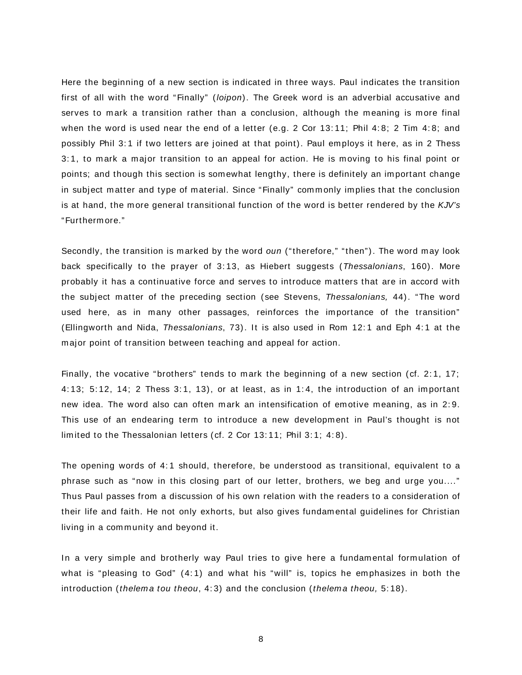Here the beginning of a new section is indicated in three ways. Paul indicates the transition first of all with the word "Finally" (loipon). The Greek word is an adverbial accusative and serves to mark a transition rather than a conclusion, although the meaning is more final when the word is used near the end of a letter (e.g. 2 Cor 13:11; Phil 4:8; 2 Tim 4:8; and possibly Phil 3: 1 if two letters are joined at that point). Paul em ploys it here, as in 2 Thess 3: 1, to m ark a m ajor transition to an appeal for action. He is m oving to his final point or points; and though this section is som ewhat lengthy, there is definitely an im portant change in subject matter and type of material. Since "Finally" commonly implies that the conclusion is at hand, the more general transitional function of the word is better rendered by the  $KJV$ 's "Furtherm ore."

Secondly, the transition is marked by the word oun ("therefore," "then"). The word may look back specifically to the prayer of 3:13, as Hiebert suggests (Thessalonians, 160). More probably it has a continuative force and serves to introduce m atters that are in accord with the subject m atter of the preceding section (see Stevens, Thessalonians, 44). "The word used here, as in many other passages, reinforces the importance of the transition" (Ellingworth and Nida, Thessalonians, 73). It is also used in Rom 12: 1 and Eph 4: 1 at the m ajor point of transition between teaching and appeal for action.

Finally, the vocative "brothers" tends to mark the beginning of a new section (cf. 2:1, 17; 4: 13; 5: 12, 14; 2 Thess 3: 1, 13), or at least, as in 1: 4, the introduction of an important new idea. The word also can often mark an intensification of emotive meaning, as in 2:9. This use of an endearing term to introduce a new development in Paul's thought is not limited to the Thessalonian letters (cf. 2 Cor 13:11; Phil 3:1; 4:8).

The opening words of 4: 1 should, therefore, be understood as transitional, equivalent to a phrase such as "now in this closing part of our letter, brothers, we beg and urge you...." Thus Paul passes from a discussion of his own relation with the readers to a consideration of their life and faith. He not only exhorts, but also gives fundam ental guidelines for Christian living in a community and beyond it.

In a very simple and brotherly way Paul tries to give here a fundamental formulation of what is "pleasing to God"  $(4:1)$  and what his "will" is, topics he emphasizes in both the introduction (thelema tou theou,  $4:3$ ) and the conclusion (thelema theou,  $5:18$ ).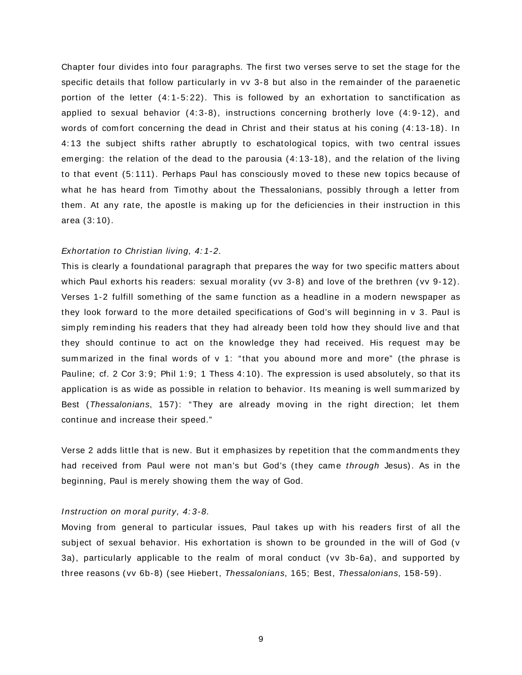Chapter four divides into four paragraphs. The first two verses serve to set the stage for the specific details that follow particularly in vv 3-8 but also in the rem ainder of the paraenetic portion of the letter (4:1-5:22). This is followed by an exhortation to sanctification as applied to sexual behavior (4:3-8), instructions concerning brotherly love (4:9-12), and words of comfort concerning the dead in Christ and their status at his coning (4:13-18). In 4: 13 the subject shifts rather abruptly to eschatological topics, with two central issues em erging: the relation of the dead to the parousia (4: 13-18), and the relation of the living to that event (5: 111). Perhaps Paul has consciously m oved to these new topics because of what he has heard from Timothy about the Thessalonians, possibly through a letter from them . At any rate, the apostle is m aking up for the deficiencies in their instruction in this area (3: 10).

# Exhortation to Christian living, 4: 1-2.

This is clearly a foundational paragraph that prepares the way for two specific m atters about which Paul exhorts his readers: sexual morality (vv 3-8) and love of the brethren (vv 9-12). Verses 1-2 fulfill something of the same function as a headline in a modern newspaper as they look forward to the more detailed specifications of God's will beginning in v 3. Paul is simply reminding his readers that they had already been told how they should live and that they should continue to act on the knowledge they had received. His request m ay be summarized in the final words of  $v$  1: "that you abound more and more" (the phrase is Pauline; cf. 2 Cor 3:9; Phil 1:9; 1 Thess 4:10). The expression is used absolutely, so that its application is as wide as possible in relation to behavior. Its meaning is well summarized by Best (Thessalonians, 157): "They are already m oving in the right direction; let them continue and increase their speed."

Verse 2 adds little that is new. But it emphasizes by repetition that the commandments they had received from Paul were not man's but God's (they came *through Jesus)*. As in the beginning, Paul is merely showing them the way of God.

#### Instruction on moral purity, 4:3-8.

Moving from general to particular issues, Paul takes up with his readers first of all the subject of sexual behavior. His exhortation is shown to be grounded in the will of God (v 3a), particularly applicable to the realm of moral conduct (vv 3b-6a), and supported by three reasons (vv 6b-8) (see Hiebert, Thessalonians, 165; Best, Thessalonians, 158-59).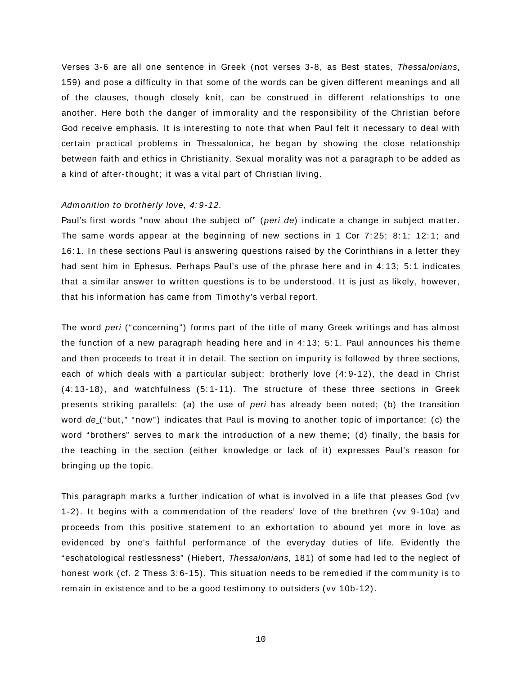Verses 3-6 are all one sentence in Greek (not verses 3-8, as Best states, Thessalonians, 159) and pose a difficulty in that some of the words can be given different meanings and all of the clauses, though closely knit, can be construed in different relationships to one another. Here both the danger of immorality and the responsibility of the Christian before God receive emphasis. It is interesting to note that when Paul felt it necessary to deal with certain practical problems in Thessalonica, he began by showing the close relationship between faith and ethics in Christianity. Sexual morality was not a paragraph to be added as a kind of after-thought; it was a vital part of Christian living.

#### Admonition to brotherly love, 4:9-12.

Paul's first words "now about the subject of" (peri de) indicate a change in subject matter. The same words appear at the beginning of new sections in 1 Cor  $7:25$ ;  $8:1$ ;  $12:1$ ; and 16: 1. In these sections Paul is answering questions raised by the Corinthians in a letter they had sent him in Ephesus. Perhaps Paul's use of the phrase here and in 4:13; 5:1 indicates that a sim ilar answer to written questions is to be understood. It is just as likely, however, that his information has came from Timothy's verbal report.

The word peri ("concerning") forms part of the title of many Greek writings and has almost the function of a new paragraph heading here and in 4:13; 5:1. Paul announces his theme and then proceeds to treat it in detail. The section on impurity is followed by three sections, each of which deals with a particular subject: brotherly love (4: 9-12), the dead in Christ (4: 13-18), and watchfulness (5: 1-11). The structure of these three sections in Greek presents striking parallels: (a) the use of peri has already been noted; (b) the transition word de ("but," "now") indicates that Paul is moving to another topic of importance; (c) the word "brothers" serves to mark the introduction of a new theme; (d) finally, the basis for the teaching in the section (either knowledge or lack of it) expresses Paul's reason for bringing up the topic.

This paragraph marks a further indication of what is involved in a life that pleases God (vv 1-2). It begins with a commendation of the readers' love of the brethren (vv 9-10a) and proceeds from this positive statement to an exhortation to abound yet more in love as evidenced by one's faithful perform ance of the everyday duties of life. Evidently the "eschatological restlessness" (Hiebert, Thessalonians, 181) of some had led to the neglect of honest work (cf. 2 Thess 3:6-15). This situation needs to be remedied if the community is to remain in existence and to be a good testimony to outsiders (vv 10b-12).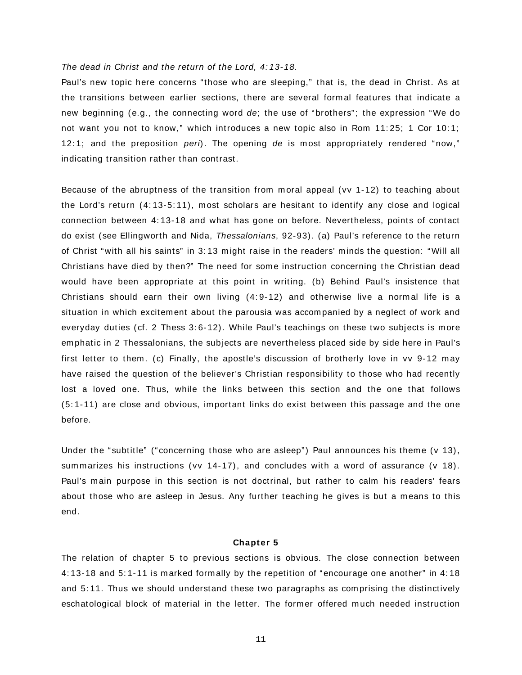# The dead in Christ and the return of the Lord, 4: 13-18.

Paul's new topic here concerns "those who are sleeping," that is, the dead in Christ. As at the transitions between earlier sections, there are several form al features that indicate a new beginning (e.g., the connecting word de; the use of "brothers"; the expression "We do not want you not to know," which introduces a new topic also in Rom 11:25; 1 Cor 10:1; 12:1; and the preposition  $peri$ ). The opening de is most appropriately rendered "now," indicating transition rather than contrast.

Because of the abruptness of the transition from moral appeal (vv 1-12) to teaching about the Lord's return (4: 13-5: 11), m ost scholars are hesitant to identify any close and logical connection between 4: 13-18 and what has gone on before. Nevertheless, points of contact do exist (see Ellingworth and Nida, Thessalonians, 92-93). (a) Paul's reference to the return of Christ "with all his saints" in 3: 13 m ight raise in the readers' m inds the question: "Will all Christians have died by then?" The need for some instruction concerning the Christian dead would have been appropriate at this point in writing. (b) Behind Paul's insistence that Christians should earn their own living  $(4:9-12)$  and otherwise live a normal life is a situation in which excitem ent about the parousia was accom panied by a neglect of work and everyday duties (cf. 2 Thess 3:6-12). While Paul's teachings on these two subjects is more em phatic in 2 Thessalonians, the subjects are nevertheless placed side by side here in Paul's first letter to them. (c) Finally, the apostle's discussion of brotherly love in vv 9-12 may have raised the question of the believer's Christian responsibility to those who had recently lost a loved one. Thus, while the links between this section and the one that follows (5: 1-11) are close and obvious, im portant links do exist between this passage and the one before.

Under the "subtitle" ("concerning those who are asleep") Paul announces his theme (v 13), summarizes his instructions (vv 14-17), and concludes with a word of assurance (v 18). Paul's main purpose in this section is not doctrinal, but rather to calm his readers' fears about those who are asleep in Jesus. Any further teaching he gives is but a means to this end.

#### **Chapter 5**

The relation of chapter 5 to previous sections is obvious. The close connection between 4: 13-18 and 5: 1-11 is m arked form ally by the repetition of "encourage one another" in 4: 18 and 5: 11. Thus we should understand these two paragraphs as com prising the distinctively eschatological block of material in the letter. The former offered much needed instruction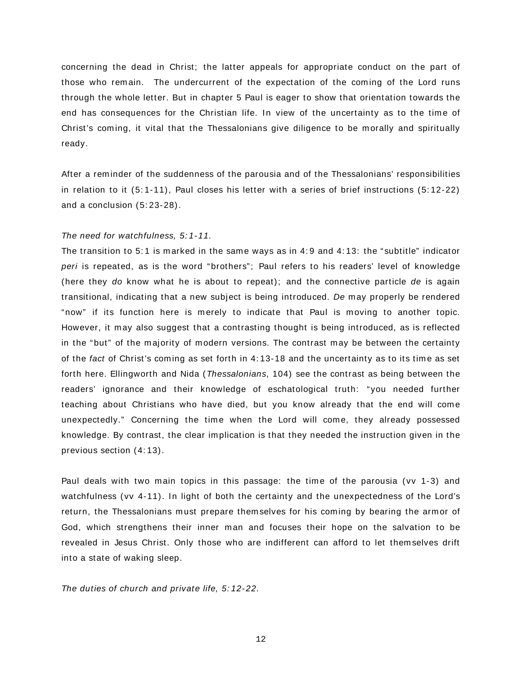concerning the dead in Christ; the latter appeals for appropriate conduct on the part of those who remain. The undercurrent of the expectation of the coming of the Lord runs through the whole letter. But in chapter 5 Paul is eager to show that orientation towards the end has consequences for the Christian life. In view of the uncertainty as to the time of Christ's com ing, it vital that the Thessalonians give diligence to be m orally and spiritually ready.

After a rem inder of the suddenness of the parousia and of the Thessalonians' responsibilities in relation to it (5: 1-11), Paul closes his letter with a series of brief instructions (5: 12-22) and a conclusion (5: 23-28).

#### The need for watchfulness, 5: 1-11.

The transition to 5:1 is marked in the same ways as in 4:9 and 4:13: the "subtitle" indicator peri is repeated, as is the word "brothers"; Paul refers to his readers' level of knowledge (here they do know what he is about to repeat); and the connective particle de is again transitional, indicating that a new subject is being introduced. De may properly be rendered "now" if its function here is m erely to indicate that Paul is m oving to another topic. However, it may also suggest that a contrasting thought is being introduced, as is reflected in the "but" of the majority of modern versions. The contrast may be between the certainty of the fact of Christ's coming as set forth in 4:13-18 and the uncertainty as to its time as set forth here. Ellingworth and Nida (Thessalonians, 104) see the contrast as being between the readers' ignorance and their knowledge of eschatological truth: "you needed further teaching about Christians who have died, but you know already that the end will come unexpectedly." Concerning the time when the Lord will come, they already possessed knowledge. By contrast, the clear im plication is that they needed the instruction given in the previous section (4: 13).

Paul deals with two main topics in this passage: the time of the parousia (vv 1-3) and watchfulness (vv 4-11). In light of both the certainty and the unexpectedness of the Lord's return, the Thessalonians must prepare them selves for his coming by bearing the armor of God, which strengthens their inner man and focuses their hope on the salvation to be revealed in Jesus Christ. Only those who are indifferent can afford to let them selves drift into a state of waking sleep.

The duties of church and private life, 5: 12-22.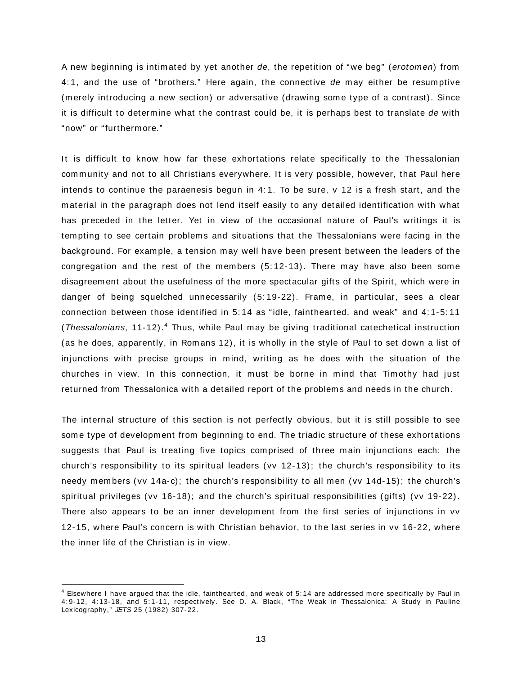A new beginning is intimated by yet another de, the repetition of "we beg" (erotomen) from 4: 1, and the use of "brothers." Here again, the connective de m ay either be resum ptive (m erely introducing a new section) or adversative (drawing som e type of a contrast). Since it is difficult to determine what the contrast could be, it is perhaps best to translate de with "now" or "furtherm ore."

It is difficult to know how far these exhortations relate specifically to the Thessalonian community and not to all Christians everywhere. It is very possible, however, that Paul here intends to continue the paraenesis begun in 4: 1. To be sure, v 12 is a fresh start, and the m aterial in the paragraph does not lend itself easily to any detailed identification with what has preceded in the letter. Yet in view of the occasional nature of Paul's writings it is tempting to see certain problems and situations that the Thessalonians were facing in the background. For exam ple, a tension m ay well have been present between the leaders of the congregation and the rest of the members  $(5:12-13)$ . There may have also been some disagreem ent about the usefulness of the m ore spectacular gifts of the Spirit, which were in danger of being squelched unnecessarily (5: 19-22). Fram e, in particular, sees a clear connection between those identified in 5: 14 as "idle, fainthearted, and weak" and 4: 1-5: 11 (*Thessalonians*, 11-12).<sup>4</sup> Thus, while Paul may be giving traditional catechetical instruction (as he does, apparently, in Rom ans 12), it is wholly in the style of Paul to set down a list of injunctions with precise groups in mind, writing as he does with the situation of the churches in view. In this connection, it must be borne in mind that Timothy had just returned from Thessalonica with a detailed report of the problems and needs in the church.

The internal structure of this section is not perfectly obvious, but it is still possible to see some type of development from beginning to end. The triadic structure of these exhortations suggests that Paul is treating five topics comprised of three main injunctions each: the church's responsibility to its spiritual leaders (vv 12-13); the church's responsibility to its needy members (vv 14a-c); the church's responsibility to all men (vv 14d-15); the church's spiritual privileges (vv 16-18); and the church's spiritual responsibilities (gifts) (vv 19-22). There also appears to be an inner development from the first series of injunctions in vv 12-15, where Paul's concern is with Christian behavior, to the last series in vv 16-22, where the inner life of the Christian is in view.

 $\overline{a}$ 

<sup>4</sup> Elsewhere I have argued that the idle, fainthearted, and weak of 5: 14 are addressed more specifically by Paul in 4: 9-12, 4: 13-18, and 5: 1-11, respectively. See D. A. Black, "The Weak in Thessalonica: A Study in Pauline Lexicography," JETS 25 (1982) 307-22.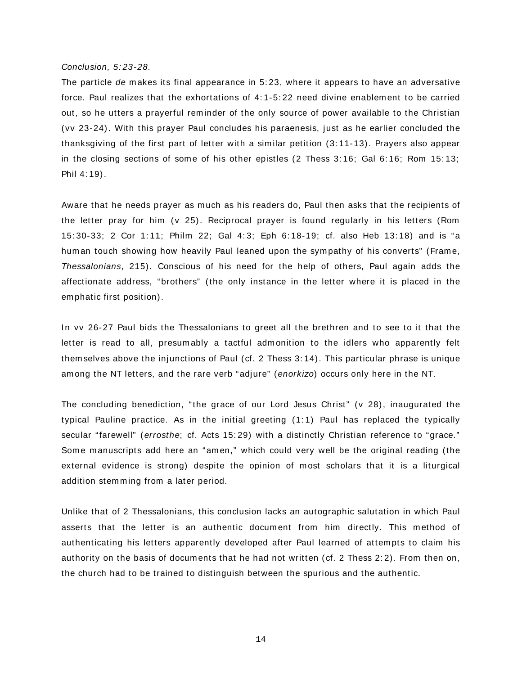#### Conclusion, 5: 23-28.

The particle de m akes its final appearance in 5: 23, where it appears to have an adversative force. Paul realizes that the exhortations of 4:1-5:22 need divine enablement to be carried out, so he utters a prayerful reminder of the only source of power available to the Christian (vv 23-24). With this prayer Paul concludes his paraenesis, just as he earlier concluded the thanksgiving of the first part of letter with a sim ilar petition (3: 11-13). Prayers also appear in the closing sections of some of his other epistles  $(2 \text{ Thess } 3:16; \text{ Gal } 6:16; \text{ Rom } 15:13;$ Phil 4: 19).

Aware that he needs prayer as much as his readers do, Paul then asks that the recipients of the letter pray for him (v 25). Reciprocal prayer is found regularly in his letters (Rom 15: 30-33; 2 Cor 1: 11; Philm 22; Gal 4: 3; Eph 6: 18-19; cf. also Heb 13: 18) and is "a hum an touch showing how heavily Paul leaned upon the sympathy of his converts" (Frame, Thessalonians, 215). Conscious of his need for the help of others, Paul again adds the affectionate address, "brothers" (the only instance in the letter where it is placed in the em phatic first position).

In vv 26-27 Paul bids the Thessalonians to greet all the brethren and to see to it that the letter is read to all, presumably a tactful admonition to the idlers who apparently felt them selves above the injunctions of Paul (cf. 2 Thess 3: 14). This particular phrase is unique am ong the NT letters, and the rare verb "adjure" (enorkizo) occurs only here in the NT.

The concluding benediction, "the grace of our Lord Jesus Christ" (v 28), inaugurated the typical Pauline practice. As in the initial greeting (1: 1) Paul has replaced the typically secular "farewell" (errosthe; cf. Acts 15:29) with a distinctly Christian reference to "grace." Some manuscripts add here an "amen," which could very well be the original reading (the external evidence is strong) despite the opinion of most scholars that it is a liturgical addition stemming from a later period.

Unlike that of 2 Thessalonians, this conclusion lacks an autographic salutation in which Paul asserts that the letter is an authentic document from him directly. This method of authenticating his letters apparently developed after Paul learned of attempts to claim his authority on the basis of documents that he had not written (cf. 2 Thess 2:2). From then on, the church had to be trained to distinguish between the spurious and the authentic.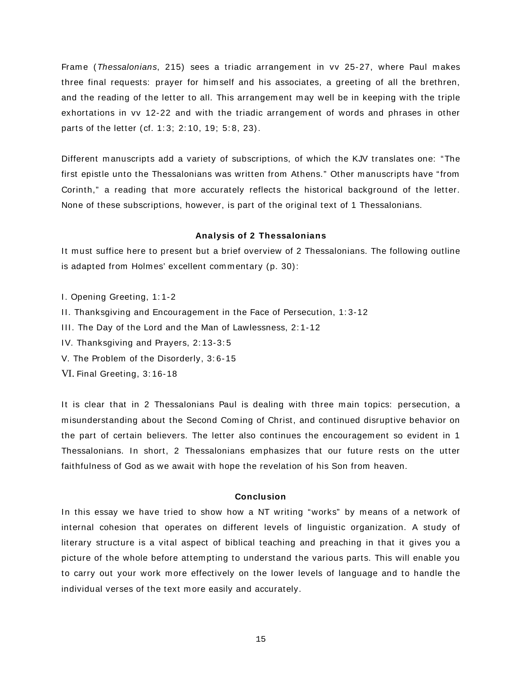Frame (Thessalonians, 215) sees a triadic arrangement in vv 25-27, where Paul makes three final requests: prayer for him self and his associates, a greeting of all the brethren, and the reading of the letter to all. This arrangement may well be in keeping with the triple exhortations in vv 12-22 and with the triadic arrangem ent of words and phrases in other parts of the letter (cf. 1: 3; 2: 10, 19; 5: 8, 23).

Different manuscripts add a variety of subscriptions, of which the KJV translates one: "The first epistle unto the Thessalonians was written from Athens." Other m anuscripts have "from Corinth," a reading that m ore accurately reflects the historical background of the letter. None of these subscriptions, however, is part of the original text of 1 Thessalonians.

# **Analysis of 2 Thessalonians**

It must suffice here to present but a brief overview of 2 Thessalonians. The following outline is adapted from Holmes' excellent commentary (p. 30):

- I. Opening Greeting, 1: 1-2
- II. Thanksgiving and Encouragem ent in the Face of Persecution, 1: 3-12
- III. The Day of the Lord and the Man of Lawlessness, 2: 1-12
- IV. Thanksgiving and Prayers, 2: 13-3: 5
- V. The Problem of the Disorderly, 3: 6-15
- VI. Final Greeting, 3: 16-18

It is clear that in 2 Thessalonians Paul is dealing with three main topics: persecution, a m isunderstanding about the Second Com ing of Christ, and continued disruptive behavior on the part of certain believers. The letter also continues the encouragement so evident in 1 Thessalonians. In short, 2 Thessalonians em phasizes that our future rests on the utter faithfulness of God as we await with hope the revelation of his Son from heaven.

# **Conclusion**

In this essay we have tried to show how a NT writing "works" by m eans of a network of internal cohesion that operates on different levels of linguistic organization. A study of literary structure is a vital aspect of biblical teaching and preaching in that it gives you a picture of the whole before attempting to understand the various parts. This will enable you to carry out your work m ore effectively on the lower levels of language and to handle the individual verses of the text more easily and accurately.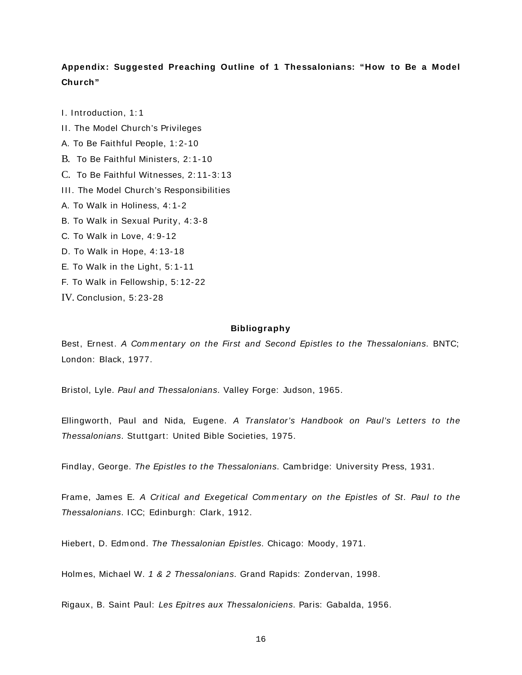# **Appendix: Suggested Preaching Outline of 1 Thessalonians: "How to Be a Model Church"**

I. Introduction, 1: 1

- II. The Model Church's Privileges
- A. To Be Faithful People, 1: 2-10
- B. To Be Faithful Ministers, 2: 1-10
- C. To Be Faithful Witnesses, 2: 11-3: 13
- III. The Model Church's Responsibilities
- A. To Walk in Holiness, 4: 1-2
- B. To Walk in Sexual Purity, 4: 3-8
- C. To Walk in Love, 4: 9-12
- D. To Walk in Hope, 4: 13-18
- E. To Walk in the Light, 5: 1-11
- F. To Walk in Fellowship, 5: 12-22
- IV. Conclusion, 5: 23-28

## **Bibliography**

Best, Ernest. A Commentary on the First and Second Epistles to the Thessalonians. BNTC; London: Black, 1977.

Bristol, Lyle. Paul and Thessalonians. Valley Forge: Judson, 1965.

Ellingworth, Paul and Nida, Eugene. A Translator's Handbook on Paul's Letters to the Thessalonians. Stuttgart: United Bible Societies, 1975.

Findlay, George. The Epistles to the Thessalonians. Cam bridge: University Press, 1931.

Frame, James E. A Critical and Exegetical Commentary on the Epistles of St. Paul to the Thessalonians. ICC; Edinburgh: Clark, 1912.

Hiebert, D. Edmond. The Thessalonian Epistles. Chicago: Moody, 1971.

Holm es, Michael W. 1 & 2 Thessalonians. Grand Rapids: Zondervan, 1998.

Rigaux, B. Saint Paul: Les Epitres aux Thessaloniciens. Paris: Gabalda, 1956.